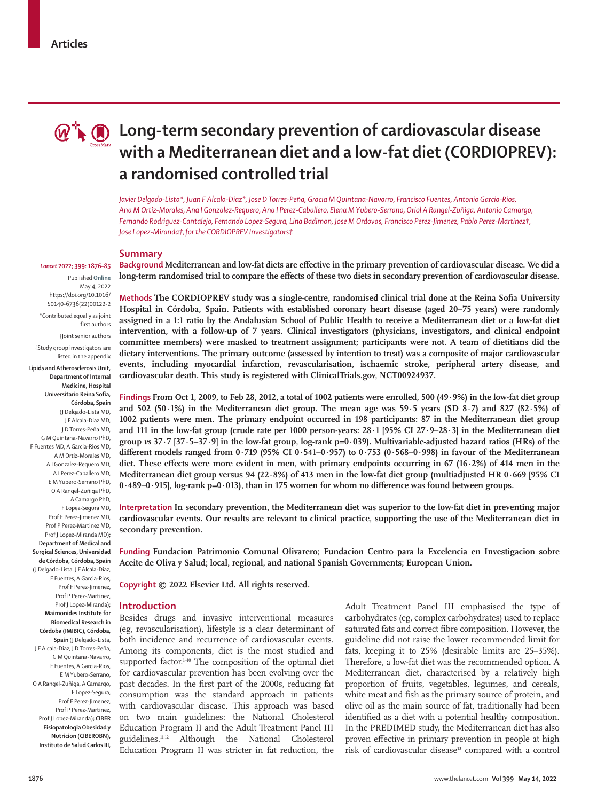

# *Q***<sup>\*</sup>** $\bullet$  **<b>Q** Long-term secondary prevention of cardiovascular disease **with a Mediterranean diet and a low-fat diet (CORDIOPREV): a randomised controlled trial**

*Javier Delgado-Lista\*, Juan F Alcala-Diaz\*, Jose D Torres-Peña, Gracia M Quintana-Navarro, Francisco Fuentes, Antonio Garcia-Rios, Ana M Ortiz-Morales, Ana I Gonzalez-Requero, Ana I Perez-Caballero, Elena M Yubero-Serrano, Oriol A Rangel-Zuñiga, Antonio Camargo, Fernando Rodriguez-Cantalejo, Fernando Lopez-Segura, Lina Badimon, Jose M Ordovas, Francisco Perez-Jimenez, Pablo Perez-Martinez†, Jose Lopez-Miranda†,for the CORDIOPREV Investigators‡*

#### **Summary**

*Lancet* **2022; 399: 1876–85** Published **Online** May 4, 2022 https://doi.org/10.1016/ S0140-6736(22)00122-2

\*Contributed equally as joint first authors

†Joint senior authors ‡Study group investigators are listed in the appendix

**Lipids and Atherosclerosis Unit, Department of Internal Medicine, Hospital Universitario Reina Sofía, Córdoba, Spain**  (J Delgado-Lista MD, J F Alcala-Diaz MD, J D Torres-Peña MD, G M Quintana-Navarro PhD, F Fuentes MD, A Garcia-Rios MD, A M Ortiz-Morales MD, A I Gonzalez-Requero MD, A I Perez-Caballero MD, E M Yubero-Serrano PhD, O A Rangel-Zuñiga PhD, A Camargo PhD, F Lopez-Segura MD, Prof F Perez-Jimenez MD, Prof P Perez-Martinez MD, Prof J Lopez-Miranda MD)**; Department of Medical and Surgical Sciences, Universidad de Córdoba, Córdoba, Spain** (J Delgado-Lista, J F Alcala-Diaz, F Fuentes, A Garcia-Rios, Prof F Perez-Jimenez, Prof P Perez-Martinez, Prof J Lopez-Miranda)**; Maimonides Institute for Biomedical Research in Córdoba (IMIBIC), Córdoba, Spain** (J Delgado-Lista, J F Alcala-Diaz, J D Torres-Peña, G M Quintana-Navarro, F Fuentes, A Garcia-Rios, O A Rangel-Zuñiga, A Camargo, Prof P Perez-Martinez, Prof J Lopez-Miranda)**; CIBER** 

# E M Yubero-Serrano, F Lopez-Segura, Prof F Perez-Jimenez,

**Fisiopatologia Obesidad y Nutricion (CIBEROBN), Instituto de Salud Carlos III,** **Background Mediterranean and low-fat diets are effective in the primary prevention of cardiovascular disease. We did a long-term randomised trial to compare the effects of these two diets in secondary prevention of cardiovascular disease.**

**Methods The CORDIOPREV study was a single-centre, randomised clinical trial done at the Reina Sofia University Hospital in Córdoba, Spain. Patients with established coronary heart disease (aged 20–75 years) were randomly assigned in a 1:1 ratio by the Andalusian School of Public Health to receive a Mediterranean diet or a low-fat diet intervention, with a follow-up of 7 years. Clinical investigators (physicians, investigators, and clinical endpoint committee members) were masked to treatment assignment; participants were not. A team of dietitians did the dietary interventions. The primary outcome (assessed by intention to treat) was a composite of major cardiovascular events, including myocardial infarction, revascularisation, ischaemic stroke, peripheral artery disease, and cardiovascular death. This study is registered with ClinicalTrials.gov, NCT00924937.**

**Findings From Oct 1, 2009, to Feb 28, 2012, a total of 1002 patients were enrolled, 500 (49·9%) in the low-fat diet group and 502 (50·1%) in the Mediterranean diet group. The mean age was 59·5 years (SD 8·7) and 827 (82·5%) of 1002 patients were men. The primary endpoint occurred in 198 participants: 87 in the Mediterranean diet group and 111 in the low-fat group (crude rate per 1000 person-years: 28·1 [95% CI 27·9–28·3] in the Mediterranean diet group** *vs* **37·7 [37·5–37·9] in the low-fat group, log-rank p=0·039). Multivariable-adjusted hazard ratios (HRs) of the different models ranged from 0·719 (95% CI 0·541–0·957) to 0·753 (0·568–0·998) in favour of the Mediterranean diet. These effects were more evident in men, with primary endpoints occurring in 67 (16·2%) of 414 men in the Mediterranean diet group versus 94 (22·8%) of 413 men in the low-fat diet group (multiadjusted HR 0·669 [95% CI 0·489–0·915], log-rank p=0·013), than in 175 women for whom no difference was found between groups.**

**Interpretation In secondary prevention, the Mediterranean diet was superior to the low-fat diet in preventing major cardiovascular events. Our results are relevant to clinical practice, supporting the use of the Mediterranean diet in secondary prevention.**

**Funding Fundacion Patrimonio Comunal Olivarero; Fundacion Centro para la Excelencia en Investigacion sobre Aceite de Oliva y Salud; local, regional, and national Spanish Governments; European Union.**

**Copyright © 2022 Elsevier Ltd. All rights reserved.**

# **Introduction**

Besides drugs and invasive interventional measures (eg, revascularisation), lifestyle is a clear determinant of both incidence and recurrence of cardiovascular events. Among its components, diet is the most studied and supported factor.<sup>1-10</sup> The composition of the optimal diet for cardiovascular prevention has been evolving over the past decades. In the first part of the 2000s, reducing fat consumption was the standard approach in patients with cardiovascular disease. This approach was based on two main guidelines: the National Cholesterol Education Program II and the Adult Treatment Panel III guidelines.11,12 Although the National Cholesterol Education Program II was stricter in fat reduction, the Adult Treatment Panel III emphasised the type of carbohydrates (eg, complex carbohydrates) used to replace saturated fats and correct fibre composition. However, the guideline did not raise the lower recommended limit for fats, keeping it to 25% (desirable limits are 25–35%). Therefore, a low-fat diet was the recommended option. A Mediterranean diet, characterised by a relatively high proportion of fruits, vegetables, legumes, and cereals, white meat and fish as the primary source of protein, and olive oil as the main source of fat, traditionally had been identified as a diet with a potential healthy composition. In the PREDIMED study, the Mediterranean diet has also proven effective in primary prevention in people at high risk of cardiovascular disease<sup>13</sup> compared with a control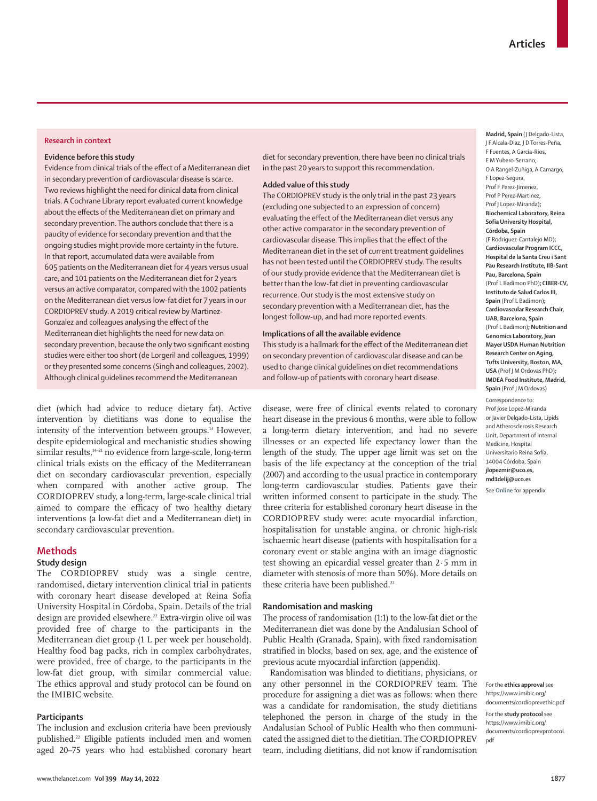### **Research in context**

#### **Evidence before this study**

Evidence from clinical trials of the effect of a Mediterranean diet in secondary prevention of cardiovascular disease is scarce. Two reviews highlight the need for clinical data from clinical trials. A Cochrane Library report evaluated current knowledge about the effects of the Mediterranean diet on primary and secondary prevention. The authors conclude that there is a paucity of evidence for secondary prevention and that the ongoing studies might provide more certainty in the future. In that report, accumulated data were available from 605 patients on the Mediterranean diet for 4 years versus usual care, and 101 patients on the Mediterranean diet for 2 years versus an active comparator, compared with the 1002 patients on the Mediterranean diet versus low-fat diet for 7 years in our CORDIOPREV study. A 2019 critical review by Martinez-Gonzalez and colleagues analysing the effect of the Mediterranean diet highlights the need for new data on secondary prevention, because the only two significant existing studies were either too short (de Lorgeril and colleagues, 1999) or they presented some concerns (Singh and colleagues, 2002). Although clinical guidelines recommend the Mediterranean

diet (which had advice to reduce dietary fat). Active intervention by dietitians was done to equalise the intensity of the intervention between groups.13 However, despite epidemiological and mechanistic studies showing similar results,<sup>14-21</sup> no evidence from large-scale, long-term clinical trials exists on the efficacy of the Mediterranean diet on secondary cardiovascular prevention, especially when compared with another active group. The CORDIOPREV study, a long-term, large-scale clinical trial aimed to compare the efficacy of two healthy dietary interventions (a low-fat diet and a Mediterranean diet) in secondary cardiovascular prevention.

# **Methods**

# **Study design**

The CORDIOPREV study was a single centre, randomised, dietary intervention clinical trial in patients with coronary heart disease developed at Reina Sofia University Hospital in Córdoba, Spain. Details of the trial design are provided elsewhere.<sup>22</sup> Extra-virgin olive oil was provided free of charge to the participants in the Mediterranean diet group (1 L per week per household). Healthy food bag packs, rich in complex carbohydrates, were provided, free of charge, to the participants in the low-fat diet group, with similar commercial value. The [ethics approval](https://www.imibic.org/documents/cordioprevethic.pdf) and [study protocol](https://www.imibic.org/documents/cordioprevprotocol.pdf) can be found on the IMIBIC website.

# **Participants**

The inclusion and exclusion criteria have been previously published.22 Eligible patients included men and women aged 20–75 years who had established coronary heart diet for secondary prevention, there have been no clinical trials in the past 20 years to support this recommendation.

#### **Added value of this study**

The CORDIOPREV study is the only trial in the past 23 years (excluding one subjected to an expression of concern) evaluating the effect of the Mediterranean diet versus any other active comparator in the secondary prevention of cardiovascular disease. This implies that the effect of the Mediterranean diet in the set of current treatment guidelines has not been tested until the CORDIOPREV study. The results of our study provide evidence that the Mediterranean diet is better than the low-fat diet in preventing cardiovascular recurrence. Our study is the most extensive study on secondary prevention with a Mediterranean diet, has the longest follow-up, and had more reported events.

# **Implications of all the available evidence**

This study is a hallmark for the effect of the Mediterranean diet on secondary prevention of cardiovascular disease and can be used to change clinical guidelines on diet recommendations and follow-up of patients with coronary heart disease.

disease, were free of clinical events related to coronary heart disease in the previous 6 months, were able to follow a long-term dietary intervention, and had no severe illnesses or an expected life expectancy lower than the length of the study. The upper age limit was set on the basis of the life expectancy at the conception of the trial (2007) and according to the usual practice in contemporary long-term cardiovascular studies. Patients gave their written informed consent to participate in the study. The three criteria for established coronary heart disease in the CORDIOPREV study were: acute myocardial infarction, hospitalisation for unstable angina, or chronic high-risk ischaemic heart disease (patients with hospitalisation for a coronary event or stable angina with an image diagnostic test showing an epicardial vessel greater than 2·5 mm in diameter with stenosis of more than 50%). More details on these criteria have been published.<sup>22</sup>

#### **Randomisation and masking**

The process of randomisation (1:1) to the low-fat diet or the Mediterranean diet was done by the Andalusian School of Public Health (Granada, Spain), with fixed randomisation stratified in blocks, based on sex, age, and the existence of previous acute myocardial infarction (appendix).

Randomisation was blinded to dietitians, physicians, or any other personnel in the CORDIOPREV team. The procedure for assigning a diet was as follows: when there was a candidate for randomisation, the study dietitians telephoned the person in charge of the study in the Andalusian School of Public Health who then communicated the assigned diet to the dietitian. The CORDIOPREV team, including dietitians, did not know if randomisation

**Madrid, Spain** (J Delgado-Lista, J F Alcala-Diaz, J D Torres-Peña, F Fuentes, A Garcia-Rios, E M Yubero-Serrano, O A Rangel-Zuñiga, A Camargo, F Lopez-Segura, Prof F Perez-Jimenez, Prof P Perez-Martinez, Prof J Lopez-Miranda)**; Biochemical Laboratory, Reina Sofia University Hospital, Córdoba, Spain** (F Rodriguez-Cantalejo MD)**; Cardiovascular Program ICCC, Hospital de la Santa Creu i Sant Pau Research Institute, IIB-Sant Pau, Barcelona, Spain**  (Prof L Badimon PhD)**; CIBER-CV, Instituto de Salud Carlos III, Spain** (Prof L Badimon)**; Cardiovascular Research Chair, UAB, Barcelona, Spain**  (Prof L Badimon)**; Nutrition and Genomics Laboratory, Jean Mayer USDA Human Nutrition Research Center on Aging, Tufts University, Boston, MA, USA** (Prof J M Ordovas PhD)**; IMDEA Food Institute, Madrid, Spain** (Prof J M Ordovas) Correspondence to:

Prof Jose Lopez-Miranda or Javier Delgado-Lista, Lipids and Atherosclerosis Research Unit, Department of Internal Medicine, Hospital Universitario Reina Sofía, 14004 Córdoba, Spain **jlopezmir@uco.es, md1delij@uco.es** 

See **Online** for appendix

For the **ethics approval** see [https://www.imibic.org/](https://www.imibic.org/documents/cordioprevethic.pdf) [documents/cordioprevethic.pdf](https://www.imibic.org/documents/cordioprevethic.pdf)

For the **study protocol** see [https://www.imibic.org/](https://www.imibic.org/documents/cordioprevprotocol.pdf) [documents/cordioprevprotocol.](https://www.imibic.org/documents/cordioprevprotocol.pdf) [pdf](https://www.imibic.org/documents/cordioprevprotocol.pdf)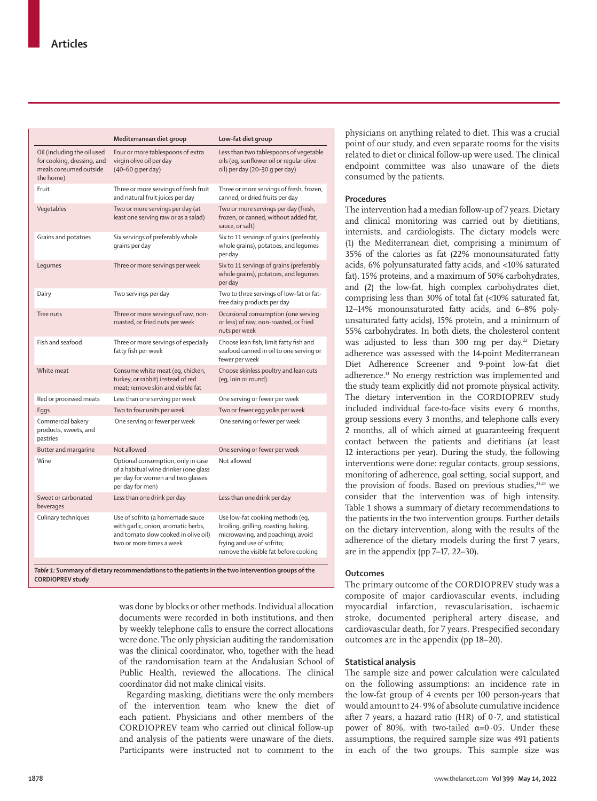|                                                                                                  | Mediterranean diet group                                                                                                                    | Low-fat diet group                                                                                                                                                                    |
|--------------------------------------------------------------------------------------------------|---------------------------------------------------------------------------------------------------------------------------------------------|---------------------------------------------------------------------------------------------------------------------------------------------------------------------------------------|
| Oil (including the oil used<br>for cooking, dressing, and<br>meals consumed outside<br>the home) | Four or more tablespoons of extra<br>virgin olive oil per day<br>(40-60 g per day)                                                          | Less than two tablespoons of vegetable<br>oils (eg, sunflower oil or regular olive<br>oil) per day (20-30 q per day)                                                                  |
| Fruit                                                                                            | Three or more servings of fresh fruit<br>and natural fruit juices per day                                                                   | Three or more servings of fresh, frozen,<br>canned, or dried fruits per day                                                                                                           |
| Vegetables                                                                                       | Two or more servings per day (at<br>least one serving raw or as a salad)                                                                    | Two or more servings per day (fresh,<br>frozen, or canned, without added fat,<br>sauce, or salt)                                                                                      |
| Grains and potatoes                                                                              | Six servings of preferably whole<br>grains per day                                                                                          | Six to 11 servings of grains (preferably<br>whole grains), potatoes, and legumes<br>per day                                                                                           |
| Legumes                                                                                          | Three or more servings per week                                                                                                             | Six to 11 servings of grains (preferably<br>whole grains), potatoes, and legumes<br>per day                                                                                           |
| Dairy                                                                                            | Two servings per day                                                                                                                        | Two to three servings of low-fat or fat-<br>free dairy products per day                                                                                                               |
| Tree nuts                                                                                        | Three or more servings of raw, non-<br>roasted, or fried nuts per week                                                                      | Occasional consumption (one serving<br>or less) of raw, non-roasted, or fried<br>nuts per week                                                                                        |
| Fish and seafood                                                                                 | Three or more servings of especially<br>fatty fish per week                                                                                 | Choose lean fish; limit fatty fish and<br>seafood canned in oil to one serving or<br>fewer per week                                                                                   |
| White meat                                                                                       | Consume white meat (eq, chicken,<br>turkey, or rabbit) instead of red<br>meat; remove skin and visible fat                                  | Choose skinless poultry and lean cuts<br>(eq, loin or round)                                                                                                                          |
| Red or processed meats                                                                           | Less than one serving per week                                                                                                              | One serving or fewer per week                                                                                                                                                         |
| Eggs                                                                                             | Two to four units per week                                                                                                                  | Two or fewer egg yolks per week                                                                                                                                                       |
| Commercial bakery<br>products, sweets, and<br>pastries                                           | One serving or fewer per week                                                                                                               | One serving or fewer per week                                                                                                                                                         |
| Butter and margarine                                                                             | Not allowed                                                                                                                                 | One serving or fewer per week                                                                                                                                                         |
| Wine                                                                                             | Optional consumption, only in case<br>of a habitual wine drinker (one glass<br>per day for women and two glasses<br>per day for men)        | Not allowed                                                                                                                                                                           |
| Sweet or carbonated<br>beverages                                                                 | Less than one drink per day                                                                                                                 | Less than one drink per day                                                                                                                                                           |
| Culinary techniques                                                                              | Use of sofrito (a homemade sauce<br>with garlic, onion, aromatic herbs,<br>and tomato slow cooked in olive oil)<br>two or more times a week | Use low-fat cooking methods (eg,<br>broiling, grilling, roasting, baking,<br>microwaving, and poaching); avoid<br>frying and use of sofrito;<br>remove the visible fat before cooking |
|                                                                                                  |                                                                                                                                             |                                                                                                                                                                                       |

*Table 1:* **Summary of dietary recommendations to the patients in the two intervention groups of the CORDIOPREV study**

> was done by blocks or other methods. Individual allocation documents were recorded in both institutions, and then by weekly telephone calls to ensure the correct allocations were done. The only physician auditing the randomisation was the clinical coordinator, who, together with the head of the randomisation team at the Andalusian School of Public Health, reviewed the allocations. The clinical coordinator did not make clinical visits.

> Regarding masking, dietitians were the only members of the intervention team who knew the diet of each patient. Physicians and other members of the CORDIOPREV team who carried out clinical follow-up and analysis of the patients were unaware of the diets. Participants were instructed not to comment to the

physicians on anything related to diet. This was a crucial point of our study, and even separate rooms for the visits related to diet or clinical follow-up were used. The clinical endpoint committee was also unaware of the diets consumed by the patients.

## **Procedures**

The intervention had a median follow-up of 7 years. Dietary and clinical monitoring was carried out by dietitians, internists, and cardiologists. The dietary models were (1) the Mediterranean diet, comprising a minimum of 35% of the calories as fat (22% monounsaturated fatty acids, 6% polyunsaturated fatty acids, and <10% saturated fat), 15% proteins, and a maximum of 50% carbohydrates, and (2) the low-fat, high complex carbohydrates diet, comprising less than 30% of total fat (<10% saturated fat, 12–14% monounsaturated fatty acids, and 6–8% polyunsaturated fatty acids), 15% protein, and a minimum of 55% carbohydrates. In both diets, the cholesterol content was adjusted to less than 300 mg per day.<sup>22</sup> Dietary adherence was assessed with the 14-point Mediterranean Diet Adherence Screener and 9-point low-fat diet adherence.13 No energy restriction was implemented and the study team explicitly did not promote physical activity. The dietary intervention in the CORDIOPREV study included individual face-to-face visits every 6 months, group sessions every 3 months, and telephone calls every 2 months, all of which aimed at guaranteeing frequent contact between the patients and dietitians (at least 12 interactions per year). During the study, the following interventions were done: regular contacts, group sessions, monitoring of adherence, goal setting, social support, and the provision of foods. Based on previous studies,<sup>23,24</sup> we consider that the intervention was of high intensity. Table 1 shows a summary of dietary recommendations to the patients in the two intervention groups. Further details on the dietary intervention, along with the results of the adherence of the dietary models during the first 7 years, are in the appendix (pp 7–17, 22–30).

# **Outcomes**

The primary outcome of the CORDIOPREV study was a composite of major cardiovascular events, including myocardial infarction, revascularisation, ischaemic stroke, documented peripheral artery disease, and cardiovascular death, for 7 years. Prespecified secondary outcomes are in the appendix (pp 18–20).

# **Statistical analysis**

The sample size and power calculation were calculated on the following assumptions: an incidence rate in the low-fat group of 4 events per 100 person-years that would amount to 24·9% of absolute cumulative incidence after 7 years, a hazard ratio (HR) of  $0.7$ , and statistical power of 80%, with two-tailed  $α=0.05$ . Under these assumptions, the required sample size was 491 patients in each of the two groups. This sample size was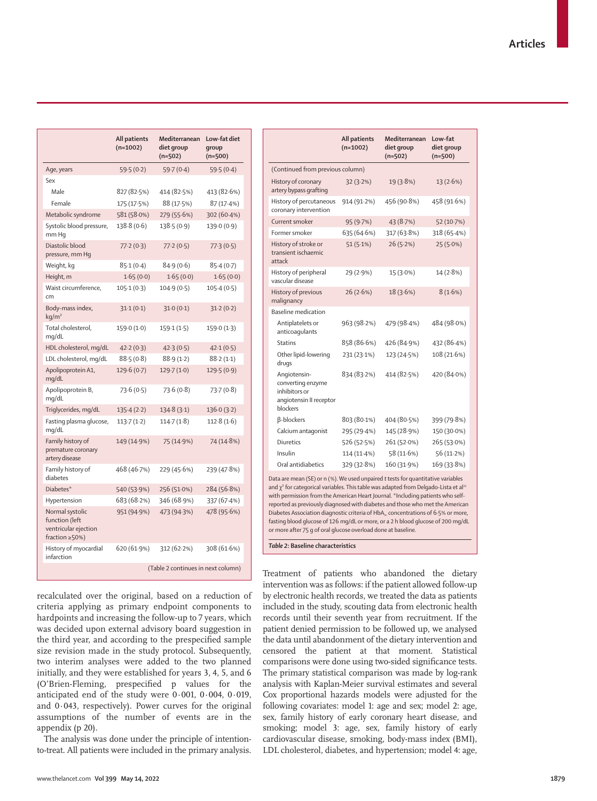|                                                                             | All patients<br>$(n=1002)$         | Mediterranean<br>diet group<br>$(n=502)$ | Low-fat diet<br>group<br>$(n=500)$ |  |
|-----------------------------------------------------------------------------|------------------------------------|------------------------------------------|------------------------------------|--|
| Age, years                                                                  | 59.5(0.2)                          | 59.7(0.4)                                | 59.5(0.4)                          |  |
| Sex                                                                         |                                    |                                          |                                    |  |
| Male                                                                        | 827 (82.5%)                        | 414 (82.5%)                              | 413 (82.6%)                        |  |
| Female                                                                      | 175 (17.5%)                        | 88 (17.5%)                               | 87(17.4%)                          |  |
| Metabolic syndrome                                                          | 581 (58.0%)                        | 279 (55.6%)                              | 302(60.4%)                         |  |
| Systolic blood pressure,<br>mm Hq                                           | 138.8(0.6)                         | 138.5(0.9)                               | 139.0(0.9)                         |  |
| Diastolic blood<br>pressure, mm Hq                                          | 77.2(0.3)                          | 77.2(0.5)                                | 77.3(0.5)                          |  |
| Weight, kg                                                                  | 85.1(0.4)                          | 84.9(0.6)                                | 85.4(0.7)                          |  |
| Height, m                                                                   | 1.65(0.0)                          | 1.65(0.0)                                | 1.65(0.0)                          |  |
| Waist circumference,<br>cm                                                  | 105.1(0.3)                         | 104.9(0.5)                               | 105.4(0.5)                         |  |
| Body-mass index,<br>kg/m <sup>2</sup>                                       | 31.1(0.1)                          | 31.0(0.1)                                | 31.2(0.2)                          |  |
| Total cholesterol,<br>mq/dL                                                 | 159.0(1.0)                         | 159.1(1.5)                               | 159.0(1.3)                         |  |
| HDL cholesterol, mg/dL                                                      | 42.2(0.3)                          | 42.3(0.5)                                | 42.1(0.5)                          |  |
| LDL cholesterol, mg/dL                                                      | 88.5(0.8)                          | 88.9(1.2)                                | 88.2(1.1)                          |  |
| Apolipoprotein A1,<br>mg/dL                                                 | 129.6(0.7)                         | 129.7(1.0)                               | 129.5 (0.9)                        |  |
| Apolipoprotein B,<br>mq/dL                                                  | 73.6(0.5)                          | 73.6(0.8)                                | 73.7(0.8)                          |  |
| Triglycerides, mg/dL                                                        | 135.4(2.2)                         | 134.8(3.1)                               | 136.0(3.2)                         |  |
| Fasting plasma glucose,<br>mg/dL                                            | 113.7(1.2)                         | 114.7(1.8)                               | 112.8(1.6)                         |  |
| Family history of<br>premature coronary<br>artery disease                   | 149 (14.9%)                        | 75 (14.9%)                               | 74 (14.8%)                         |  |
| Family history of<br>diabetes                                               | 468 (46.7%)                        | 229 (45.6%)                              | 239 (47.8%)                        |  |
| Diabetes*                                                                   | 540 (53.9%)                        | 256 (51.0%)                              | 284 (56.8%)                        |  |
| Hypertension                                                                | 683 (68.2%)                        | 346 (68.9%)                              | 337 (67.4%)                        |  |
| Normal systolic<br>function (left<br>ventricular ejection<br>fraction ≥50%) | 951 (94.9%)                        | 473 (94.3%)                              | 478 (95.6%)                        |  |
| History of myocardial<br>infarction                                         | 620 (61.9%)                        | 312 (62.2%)                              | 308 (61.6%)                        |  |
|                                                                             | (Table 2 continues in next column) |                                          |                                    |  |

|                                                                                                                                                                                                                                                                                                                                                                                                                                                                                                                                                                                                                    | All patients<br>$(n=1002)$ | Mediterranean<br>diet group<br>$(n=502)$ | Low-fat<br>diet group<br>$(n=500)$ |  |  |
|--------------------------------------------------------------------------------------------------------------------------------------------------------------------------------------------------------------------------------------------------------------------------------------------------------------------------------------------------------------------------------------------------------------------------------------------------------------------------------------------------------------------------------------------------------------------------------------------------------------------|----------------------------|------------------------------------------|------------------------------------|--|--|
| (Continued from previous column)                                                                                                                                                                                                                                                                                                                                                                                                                                                                                                                                                                                   |                            |                                          |                                    |  |  |
| History of coronary<br>artery bypass grafting                                                                                                                                                                                                                                                                                                                                                                                                                                                                                                                                                                      | 32(3.2%)                   | 19 (3.8%)                                | 13(2.6%)                           |  |  |
| History of percutaneous<br>coronary intervention                                                                                                                                                                                                                                                                                                                                                                                                                                                                                                                                                                   | 914 (91.2%)                | 456 (90.8%)                              | 458 (91.6%)                        |  |  |
| Current smoker                                                                                                                                                                                                                                                                                                                                                                                                                                                                                                                                                                                                     | 95 (9.7%)                  | 43 (8.7%)                                | 52 (10.7%)                         |  |  |
| Former smoker                                                                                                                                                                                                                                                                                                                                                                                                                                                                                                                                                                                                      | 635 (64.6%)                | 317 (63.8%)                              | 318 (65.4%)                        |  |  |
| History of stroke or<br>transient ischaemic<br>attack                                                                                                                                                                                                                                                                                                                                                                                                                                                                                                                                                              | 51(5.1%)                   | 26(5.2%)                                 | $25(5.0\%)$                        |  |  |
| History of peripheral<br>vascular disease                                                                                                                                                                                                                                                                                                                                                                                                                                                                                                                                                                          | 29 (2.9%)                  | 15 (3.0%)                                | 14 (2.8%)                          |  |  |
| History of previous<br>malignancy                                                                                                                                                                                                                                                                                                                                                                                                                                                                                                                                                                                  | 26 (2.6%)                  | 18 (3.6%)                                | 8(1.6%)                            |  |  |
| <b>Baseline medication</b>                                                                                                                                                                                                                                                                                                                                                                                                                                                                                                                                                                                         |                            |                                          |                                    |  |  |
| Antiplatelets or<br>anticoagulants                                                                                                                                                                                                                                                                                                                                                                                                                                                                                                                                                                                 | 963 (98.2%)                | 479 (98.4%)                              | 484 (98.0%)                        |  |  |
| <b>Statins</b>                                                                                                                                                                                                                                                                                                                                                                                                                                                                                                                                                                                                     | 858 (86.6%)                | 426 (84.9%)                              | 432 (86.4%)                        |  |  |
| Other lipid-lowering<br>drugs                                                                                                                                                                                                                                                                                                                                                                                                                                                                                                                                                                                      | 231 (23.1%)                | 123 (24.5%)                              | 108 (21.6%)                        |  |  |
| Angiotensin-<br>converting enzyme<br>inhibitors or<br>angiotensin II receptor<br>blockers                                                                                                                                                                                                                                                                                                                                                                                                                                                                                                                          | 834 (83.2%)                | 414 (82.5%)                              | 420 (84.0%)                        |  |  |
| β-blockers                                                                                                                                                                                                                                                                                                                                                                                                                                                                                                                                                                                                         | 803 (80.1%)                | 404 (80.5%)                              | 399 (79.8%)                        |  |  |
| Calcium antagonist                                                                                                                                                                                                                                                                                                                                                                                                                                                                                                                                                                                                 | 295 (29.4%)                | 145 (28.9%)                              | 150 (30.0%)                        |  |  |
| Diuretics                                                                                                                                                                                                                                                                                                                                                                                                                                                                                                                                                                                                          | 526 (52.5%)                | 261 (52.0%)                              | 265 (53.0%)                        |  |  |
| Insulin                                                                                                                                                                                                                                                                                                                                                                                                                                                                                                                                                                                                            | $114(11.4\%)$              | 58 (11.6%)                               | 56 (11.2%)                         |  |  |
| Oral antidiabetics                                                                                                                                                                                                                                                                                                                                                                                                                                                                                                                                                                                                 | 329 (32.8%)                | 160 (31.9%)                              | 169 (33.8%)                        |  |  |
| Data are mean (SE) or n (%). We used unpaired t tests for quantitative variables<br>and $\chi^2$ for categorical variables. This table was adapted from Delgado-Lista et al <sup>22</sup><br>with permission from the American Heart Journal. *Including patients who self-<br>reported as previously diagnosed with diabetes and those who met the American<br>Diabetes Association diagnostic criteria of HbA <sub>1</sub> , concentrations of 6.5% or more,<br>fasting blood glucose of 126 mg/dL or more, or a 2 h blood glucose of 200 mg/dL<br>or more after 75 g of oral glucose overload done at baseline. |                            |                                          |                                    |  |  |

*Table 2:* **Baseline characteristics**

recalculated over the original, based on a reduction of criteria applying as primary endpoint components to hardpoints and increasing the follow-up to 7 years, which was decided upon external advisory board suggestion in the third year, and according to the prespecified sample size revision made in the study protocol. Subsequently, two interim analyses were added to the two planned initially, and they were established for years 3, 4, 5, and 6 (O'Brien-Fleming, prespecified p values for the anticipated end of the study were  $0.001, 0.004, 0.019$ , and 0·043, respectively). Power curves for the original assumptions of the number of events are in the appendix (p 20).

The analysis was done under the principle of intentionto-treat. All patients were included in the primary analysis. Treatment of patients who abandoned the dietary intervention was as follows: if the patient allowed follow-up by electronic health records, we treated the data as patients included in the study, scouting data from electronic health records until their seventh year from recruitment. If the patient denied permission to be followed up, we analysed the data until abandonment of the dietary intervention and censored the patient at that moment. Statistical comparisons were done using two-sided significance tests. The primary statistical comparison was made by log-rank analysis with Kaplan-Meier survival estimates and several Cox proportional hazards models were adjusted for the following covariates: model 1: age and sex; model 2: age, sex, family history of early coronary heart disease, and smoking; model 3: age, sex, family history of early cardiovascular disease, smoking, body-mass index (BMI), LDL cholesterol, diabetes, and hypertension; model 4: age,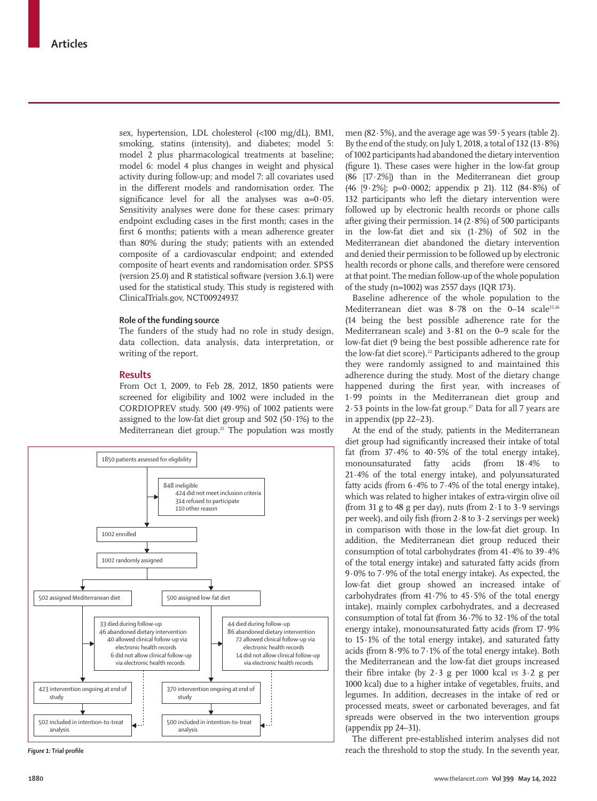sex, hypertension, LDL cholesterol (<100 mg/dL), BMI, smoking, statins (intensity), and diabetes; model 5: model 2 plus pharmacological treatments at baseline; model 6: model 4 plus changes in weight and physical activity during follow-up; and model 7: all covariates used in the different models and randomisation order. The significance level for all the analyses was  $\alpha=0.05$ . Sensitivity analyses were done for these cases: primary endpoint excluding cases in the first month; cases in the first 6 months; patients with a mean adherence greater than 80% during the study; patients with an extended composite of a cardiovascular endpoint; and extended composite of heart events and randomisation order. SPSS (version 25.0) and R statistical software (version 3.6.1) were used for the statistical study. This study is registered with ClinicalTrials.gov, NCT00924937.

#### **Role of the funding source**

The funders of the study had no role in study design, data collection, data analysis, data interpretation, or writing of the report.

### **Results**

From Oct 1, 2009, to Feb 28, 2012, 1850 patients were screened for eligibility and 1002 were included in the CORDIOPREV study. 500 (49·9%) of 1002 patients were assigned to the low-fat diet group and  $502$  ( $50.1\%$ ) to the Mediterranean diet group.<sup>22</sup> The population was mostly



men (82·5%), and the average age was 59·5 years (table 2). By the end of the study, on July 1, 2018, a total of 132 (13·8%) of 1002 participants had abandoned the dietary intervention (figure 1). These cases were higher in the low-fat group (86 [17·2%]) than in the Mediterranean diet group (46 [9·2%]; p=0·0002; appendix p 21). 112 (84·8%) of 132 participants who left the dietary intervention were followed up by electronic health records or phone calls after giving their permission.  $14$  (2 $\cdot$ 8%) of 500 participants in the low-fat diet and six (1·2%) of 502 in the Mediterranean diet abandoned the dietary intervention and denied their permission to be followed up by electronic health records or phone calls, and therefore were censored at that point. The median follow-up of the whole population of the study (n=1002) was 2557 days (IQR 173).

Baseline adherence of the whole population to the Mediterranean diet was  $8.78$  on the 0-14 scale<sup>25,26</sup> (14 being the best possible adherence rate for the Mediterranean scale) and 3·81 on the 0–9 scale for the low-fat diet (9 being the best possible adherence rate for the low-fat diet score).<sup>22</sup> Participants adhered to the group they were randomly assigned to and maintained this adherence during the study. Most of the dietary change happened during the first year, with increases of 1·99 points in the Mediterranean diet group and 2 $\cdot$  53 points in the low-fat group.<sup>27</sup> Data for all 7 years are in appendix (pp 22–23).

At the end of the study, patients in the Mediterranean diet group had significantly increased their intake of total fat (from  $37.4\%$  to  $40.5\%$  of the total energy intake), monounsaturated fatty acids (from 18·4% to 21·4% of the total energy intake), and polyunsaturated fatty acids (from  $6.4\%$  to  $7.4\%$  of the total energy intake), which was related to higher intakes of extra-virgin olive oil (from 31 g to 48 g per day), nuts (from  $2.1$  to  $3.9$  servings per week), and oily fish (from 2·8 to 3·2 servings per week) in comparison with those in the low-fat diet group. In addition, the Mediterranean diet group reduced their consumption of total carbohydrates (from 41·4% to 39·4% of the total energy intake) and saturated fatty acids (from 9·0% to 7·9% of the total energy intake). As expected, the low-fat diet group showed an increased intake of carbohydrates (from 41·7% to 45·5% of the total energy intake), mainly complex carbohydrates, and a decreased consumption of total fat (from 36·7% to 32·1% of the total energy intake), monounsaturated fatty acids (from 17·9% to 15·1% of the total energy intake), and saturated fatty acids (from 8·9% to 7·1% of the total energy intake). Both the Mediterranean and the low-fat diet groups increased their fibre intake (by 2·3 g per 1000 kcal *vs* 3·2 g per 1000 kcal) due to a higher intake of vegetables, fruits, and legumes. In addition, decreases in the intake of red or processed meats, sweet or carbonated beverages, and fat spreads were observed in the two intervention groups (appendix pp 24–31).

The different pre-established interim analyses did not *Figure 1:* **Trial profile** reach the threshold to stop the study. In the seventh year,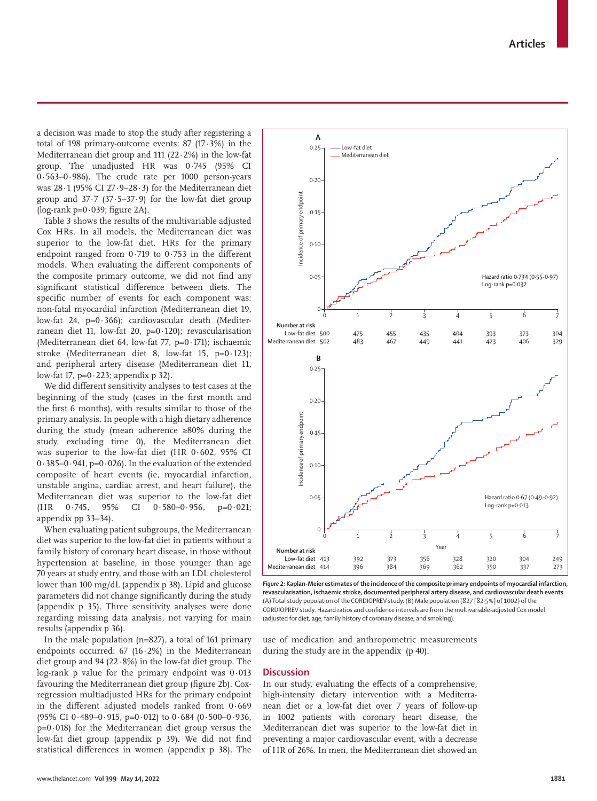a decision was made to stop the study after registering a total of 198 primary-outcome events: 87 (17·3%) in the Mediterranean diet group and 111 (22·2%) in the low-fat group. The unadjusted HR was 0·745 (95% CI 0·563–0·986). The crude rate per 1000 person-years was 28·1 (95% CI 27·9–28·3) for the Mediterranean diet group and  $37.7$   $(37.5-37.9)$  for the low-fat diet group (log-rank  $p=0.039$ ; figure 2A).

Table 3 shows the results of the multivariable adjusted Cox HRs. In all models, the Mediterranean diet was superior to the low-fat diet. HRs for the primary endpoint ranged from 0·719 to 0·753 in the different models. When evaluating the different components of the composite primary outcome, we did not find any significant statistical difference between diets. The specific number of events for each component was: non-fatal myocardial infarction (Mediterranean diet 19, low-fat 24,  $p=0.366$ ; cardiovascular death (Mediterranean diet 11, low-fat 20,  $p=0.120$ ; revascularisation (Mediterranean diet 64, low-fat 77, p=0·171); ischaemic stroke (Mediterranean diet 8, low-fat 15, p=0·123); and peripheral artery disease (Mediterranean diet 11, low-fat 17,  $p=0.223$ ; appendix p 32).

We did different sensitivity analyses to test cases at the beginning of the study (cases in the first month and the first 6 months), with results similar to those of the primary analysis. In people with a high dietary adherence during the study (mean adherence ≥80% during the study, excluding time 0), the Mediterranean diet was superior to the low-fat diet (HR 0·602, 95% CI 0·385–0·941, p=0·026). In the evaluation of the extended composite of heart events (ie, myocardial infarction, unstable angina, cardiac arrest, and heart failure), the Mediterranean diet was superior to the low-fat diet (HR 0·745, 95% CI 0·580–0·956, p=0·021; appendix pp 33–34).

When evaluating patient subgroups, the Mediterranean diet was superior to the low-fat diet in patients without a family history of coronary heart disease, in those without hypertension at baseline, in those younger than age 70 years at study entry, and those with an LDL cholesterol lower than 100 mg/dL (appendix p 38). Lipid and glucose parameters did not change significantly during the study (appendix p 35). Three sensitivity analyses were done regarding missing data analysis, not varying for main results (appendix p 36).

In the male population (n=827), a total of 161 primary endpoints occurred:  $67$  (16 $\cdot$ 2%) in the Mediterranean diet group and 94 (22·8%) in the low-fat diet group. The log-rank p value for the primary endpoint was 0·013 favouring the Mediterranean diet group (figure 2b). Coxregression multiadjusted HRs for the primary endpoint in the different adjusted models ranked from 0·669 (95% CI 0 $-489-0.915$ , p=0 $-0.12$ ) to 0 $-684$  (0 $-500-0.936$ , p=0·018) for the Mediterranean diet group versus the low-fat diet group (appendix p 39). We did not find statistical differences in women (appendix p 38). The



*Figure 2:* **Kaplan-Meier estimates of the incidence of the composite primary endpoints of myocardial infarction, revascularisation, ischaemic stroke, documented peripheral artery disease, and cardiovascular death events** (A) Total study population of the CORDIOPREV study. (B) Male population (827 [82·5%] of 1002) of the CORDIOPREV study. Hazard ratios and confidence intervals are from the multivariable-adjusted Cox model (adjusted for diet, age, family history of coronary disease, and smoking).

use of medication and anthropometric measurements during the study are in the appendix (p 40).

#### **Discussion**

In our study, evaluating the effects of a comprehensive, high-intensity dietary intervention with a Mediterranean diet or a low-fat diet over 7 years of follow-up in 1002 patients with coronary heart disease, the Mediterranean diet was superior to the low-fat diet in preventing a major cardiovascular event, with a decrease of HR of 26%. In men, the Mediterranean diet showed an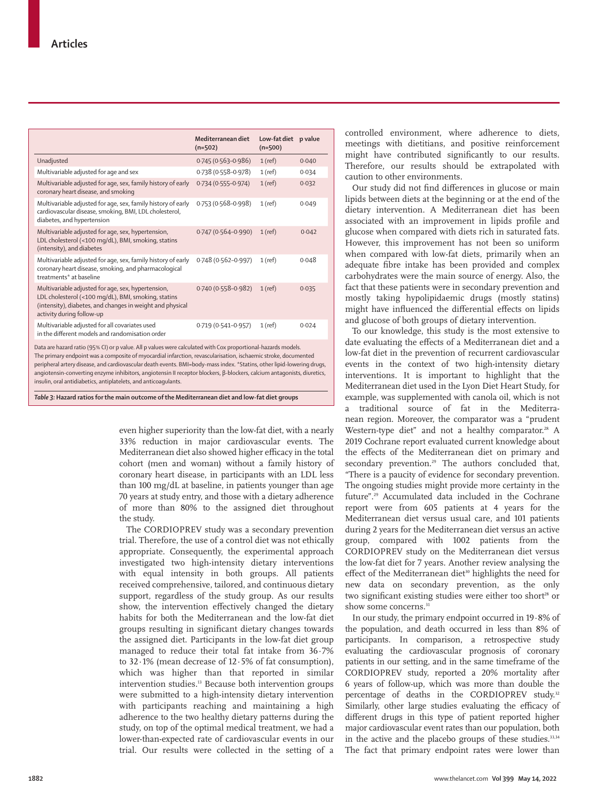|                                                                                                                                                                                                                                                                                                                                                                                                                                                                                      | Mediterranean diet<br>$(n=502)$ | Low-fat diet<br>$(n=500)$ | p value |  |  |
|--------------------------------------------------------------------------------------------------------------------------------------------------------------------------------------------------------------------------------------------------------------------------------------------------------------------------------------------------------------------------------------------------------------------------------------------------------------------------------------|---------------------------------|---------------------------|---------|--|--|
| Unadjusted                                                                                                                                                                                                                                                                                                                                                                                                                                                                           | 0.745 (0.563-0.986)             | $1$ (ref)                 | 0.040   |  |  |
| Multivariable adjusted for age and sex                                                                                                                                                                                                                                                                                                                                                                                                                                               | 0.738 (0.558-0.978)             | $1$ (ref)                 | 0.034   |  |  |
| Multivariable adjusted for age, sex, family history of early<br>coronary heart disease, and smoking                                                                                                                                                                                                                                                                                                                                                                                  | 0.734 (0.555-0.974)             | $1$ (ref)                 | 0.032   |  |  |
| Multivariable adjusted for age, sex, family history of early<br>cardiovascular disease, smoking, BMI, LDL cholesterol,<br>diabetes, and hypertension                                                                                                                                                                                                                                                                                                                                 | 0.753 (0.568-0.998)             | $1$ (ref)                 | 0.049   |  |  |
| Multivariable adjusted for age, sex, hypertension,<br>LDL cholesterol (<100 mg/dL), BMI, smoking, statins<br>(intensity), and diabetes                                                                                                                                                                                                                                                                                                                                               | $0.747(0.564 - 0.990)$          | $1$ (ref)                 | 0.042   |  |  |
| Multivariable adjusted for age, sex, family history of early<br>coronary heart disease, smoking, and pharmacological<br>treatments* at baseline                                                                                                                                                                                                                                                                                                                                      | 0.748 (0.562-0.997)             | $1$ (ref)                 | 0.048   |  |  |
| Multivariable adjusted for age, sex, hypertension,<br>LDL cholesterol (<100 mg/dL), BMI, smoking, statins<br>(intensity), diabetes, and changes in weight and physical<br>activity during follow-up                                                                                                                                                                                                                                                                                  | 0.740 (0.558-0.982)             | $1$ (ref)                 | 0.035   |  |  |
| Multivariable adjusted for all covariates used<br>in the different models and randomisation order                                                                                                                                                                                                                                                                                                                                                                                    | 0.719 (0.541-0.957)             | $1$ (ref)                 | 0.024   |  |  |
| Data are hazard ratio (95% CI) or p value. All p values were calculated with Cox proportional-hazards models.<br>The primary endpoint was a composite of myocardial infarction, revascularisation, ischaemic stroke, documented<br>peripheral artery disease, and cardiovascular death events. BMI=body-mass index. *Statins, other lipid-lowering drugs,<br>angiotensin-converting enzyme inhibitors, angiotensin II receptor blockers, β-blockers, calcium antagonists, diuretics, |                                 |                           |         |  |  |

*Table 3:* **Hazard ratios for the main outcome of the Mediterranean diet and low-fat diet groups**

insulin, oral antidiabetics, antiplatelets, and anticoagulants.

even higher superiority than the low-fat diet, with a nearly 33% reduction in major cardiovascular events. The Mediterranean diet also showed higher efficacy in the total cohort (men and woman) without a family history of coronary heart disease, in participants with an LDL less than 100 mg/dL at baseline, in patients younger than age 70 years at study entry, and those with a dietary adherence of more than 80% to the assigned diet throughout the study.

The CORDIOPREV study was a secondary prevention trial. Therefore, the use of a control diet was not ethically appropriate. Consequently, the experimental approach investigated two high-intensity dietary interventions with equal intensity in both groups. All patients received comprehensive, tailored, and continuous dietary support, regardless of the study group. As our results show, the intervention effectively changed the dietary habits for both the Mediterranean and the low-fat diet groups resulting in significant dietary changes towards the assigned diet. Participants in the low-fat diet group managed to reduce their total fat intake from 36·7% to 32·1% (mean decrease of 12·5% of fat consumption), which was higher than that reported in similar intervention studies.<sup>13</sup> Because both intervention groups were submitted to a high-intensity dietary intervention with participants reaching and maintaining a high adherence to the two healthy dietary patterns during the study, on top of the optimal medical treatment, we had a lower-than-expected rate of cardiovascular events in our trial. Our results were collected in the setting of a controlled environment, where adherence to diets, meetings with dietitians, and positive reinforcement might have contributed significantly to our results. Therefore, our results should be extrapolated with caution to other environments.

Our study did not find differences in glucose or main lipids between diets at the beginning or at the end of the dietary intervention. A Mediterranean diet has been associated with an improvement in lipids profile and glucose when compared with diets rich in saturated fats. However, this improvement has not been so uniform when compared with low-fat diets, primarily when an adequate fibre intake has been provided and complex carbohydrates were the main source of energy. Also, the fact that these patients were in secondary prevention and mostly taking hypolipidaemic drugs (mostly statins) might have influenced the differential effects on lipids and glucose of both groups of dietary intervention.

To our knowledge, this study is the most extensive to date evaluating the effects of a Mediterranean diet and a low-fat diet in the prevention of recurrent cardiovascular events in the context of two high-intensity dietary interventions. It is important to highlight that the Mediterranean diet used in the Lyon Diet Heart Study, for example, was supplemented with canola oil, which is not a traditional source of fat in the Mediterranean region. Moreover, the comparator was a "prudent Western-type diet" and not a healthy comparator.<sup>28</sup> A 2019 Cochrane report evaluated current knowledge about the effects of the Mediterranean diet on primary and secondary prevention.<sup>29</sup> The authors concluded that, "There is a paucity of evidence for secondary prevention. The ongoing studies might provide more certainty in the future".29 Accumulated data included in the Cochrane report were from 605 patients at 4 years for the Mediterranean diet versus usual care, and 101 patients during 2 years for the Mediterranean diet versus an active group, compared with 1002 patients from the CORDIOPREV study on the Mediterranean diet versus the low-fat diet for 7 years. Another review analysing the effect of the Mediterranean diet<sup>30</sup> highlights the need for new data on secondary prevention, as the only two significant existing studies were either too short<sup>28</sup> or show some concerns.<sup>31</sup>

In our study, the primary endpoint occurred in 19·8% of the population, and death occurred in less than 8% of participants. In comparison, a retrospective study evaluating the cardiovascular prognosis of coronary patients in our setting, and in the same timeframe of the CORDIOPREV study, reported a 20% mortality after 6 years of follow-up, which was more than double the percentage of deaths in the CORDIOPREV study.<sup>32</sup> Similarly, other large studies evaluating the efficacy of different drugs in this type of patient reported higher major cardiovascular event rates than our population, both in the active and the placebo groups of these studies.<sup>33,34</sup> The fact that primary endpoint rates were lower than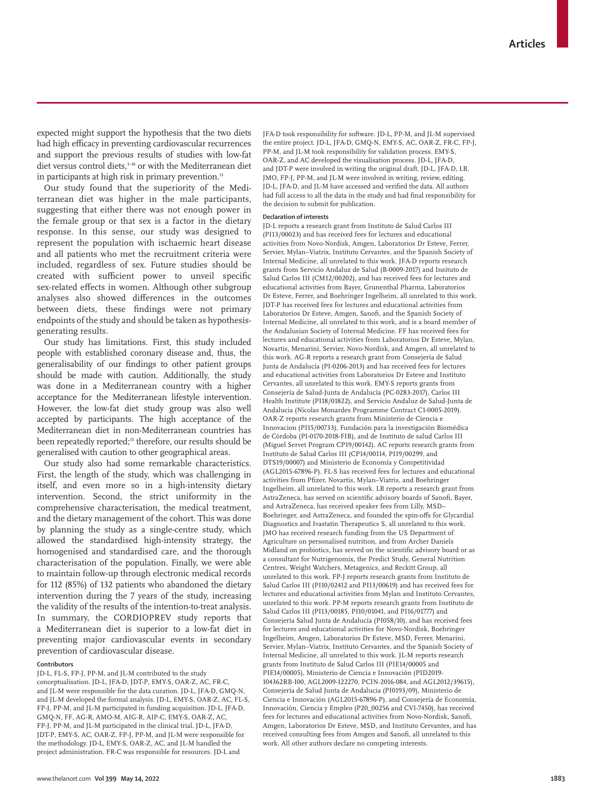expected might support the hypothesis that the two diets had high efficacy in preventing cardiovascular recurrences and support the previous results of studies with low-fat diet versus control diets,<sup>3-10</sup> or with the Mediterranean diet in participants at high risk in primary prevention.<sup>13</sup>

Our study found that the superiority of the Mediterranean diet was higher in the male participants, suggesting that either there was not enough power in the female group or that sex is a factor in the dietary response. In this sense, our study was designed to represent the population with ischaemic heart disease and all patients who met the recruitment criteria were included, regardless of sex. Future studies should be created with sufficient power to unveil specific sex-related effects in women. Although other subgroup analyses also showed differences in the outcomes between diets, these findings were not primary endpoints of the study and should be taken as hypothesisgenerating results.

Our study has limitations. First, this study included people with established coronary disease and, thus, the generalisability of our findings to other patient groups should be made with caution. Additionally, the study was done in a Mediterranean country with a higher acceptance for the Mediterranean lifestyle intervention. However, the low-fat diet study group was also well accepted by participants. The high acceptance of the Mediterranean diet in non-Mediterranean countries has been repeatedly reported;<sup>35</sup> therefore, our results should be generalised with caution to other geographical areas.

Our study also had some remarkable characteristics. First, the length of the study, which was challenging in itself, and even more so in a high-intensity dietary intervention. Second, the strict uniformity in the comprehensive characterisation, the medical treatment, and the dietary management of the cohort. This was done by planning the study as a single-centre study, which allowed the standardised high-intensity strategy, the homogenised and standardised care, and the thorough characterisation of the population. Finally, we were able to maintain follow-up through electronic medical records for 112 (85%) of 132 patients who abandoned the dietary intervention during the 7 years of the study, increasing the validity of the results of the intention-to-treat analysis. In summary, the CORDIOPREV study reports that a Mediterranean diet is superior to a low-fat diet in preventing major cardiovascular events in secondary prevention of cardiovascular disease.

#### **Contributors**

JD-L, FL-S, FP-J, PP-M, and JL-M contributed to the study conceptualisation. JD-L, JFA-D, JDT-P, EMY-S, OAR-Z, AC, FR-C, and JL-M were responsible for the data curation. JD-L, JFA-D, GMQ-N, and JL-M developed the formal analysis. JD-L, EMY-S, OAR-Z, AC, FL-S, FP-J, PP-M, and JL-M participated in funding acquisition. JD-L, JFA-D, GMQ-N, FF, AG-R, AMO-M, AIG-R, AIP-C, EMY-S, OAR-Z, AC, FP-J, PP-M, and JL-M participated in the clinical trial. JD-L, JFA-D, JDT-P, EMY-S, AC, OAR-Z, FP-J, PP-M, and JL-M were responsible for the methodology. JD-L, EMY-S, OAR-Z, AC, and JL-M handled the project administration. FR-C was responsible for resources. JD-L and

JFA-D took responsibility for software. JD-L, PP-M, and JL-M supervised the entire project. JD-L, JFA-D, GMQ-N, EMY-S, AC, OAR-Z, FR-C, FP-J, PP-M, and JL-M took responsibility for validation process. EMY-S, OAR-Z, and AC developed the visualisation process. JD-L, JFA-D, and JDT-P were involved in writing the original draft. JD-L, JFA-D, LB, JMO, FP-J, PP-M, and JL-M were involved in writing, review, editing. JD-L, JFA-D, and JL-M have accessed and verified the data. All authors had full access to all the data in the study and had final responsibility for the decision to submit for publication.

#### **Declaration of interests**

JD-L reports a research grant from Instituto de Salud Carlos III (PI13/00023) and has received fees for lectures and educational activities from Novo-Nordisk, Amgen, Laboratorios Dr Esteve, Ferrer, Servier, Mylan–Viatrix, Instituto Cervantes, and the Spanish Society of Internal Medicine, all unrelated to this work. JFA-D reports research grants from Servicio Andaluz de Salud (B-0009-2017) and Insituto de Salud Carlos III (CM12/00202), and has received fees for lectures and educational activities from Bayer, Grunenthal Pharma, Laboratorios Dr Esteve, Ferrer, and Boehringer Ingelheim, all unrelated to this work. JDT-P has received fees for lectures and educational activities from Laboratorios Dr Esteve, Amgen, Sanofi, and the Spanish Society of Internal Medicine, all unrelated to this work, and is a board member of the Andalusian Society of Internal Medicine. FF has received fees for lectures and educational activities from Laboratorios Dr Esteve, Mylan, Novartis, Menarini, Servier, Novo-Nordisk, and Amgen, all unrelated to this work. AG-R reports a research grant from Consejería de Salud Junta de Andalucía (PI-0206-2013) and has received fees for lectures and educational activities from Laboratorios Dr Esteve and Instituto Cervantes, all unrelated to this work. EMY-S reports grants from Consejería de Salud-Junta de Andalucía (PC-0283-2017), Carlos III Health Institute (PI18/01822), and Servicio Andaluz de Salud-Junta de Andalucia (Nicolas Monardes Programme Contract C1-0005-2019). OAR-Z reports research grants from Ministerio de Ciencia e Innovacion (PI15/00733), Fundación para la investigación Biomédica de Córdoba (PI-0170-2018-FIB), and de Instituto de salud Carlos III (Miguel Servet Program CP19/00142). AC reports research grants from Instituto de Salud Carlos III (CP14/00114, PI19/00299, and DTS19/00007) and Ministerio de Economía y Competitividad (AGL2015-67896-P). FL-S has received fees for lectures and educational activities from Pfizer, Novartis, Mylan–Viatris, and Boehringer Ingelheim, all unrelated to this work. LB reports a research grant from AstraZeneca, has served on scientific advisory boards of Sanofi, Bayer, and AstraZeneca, has received speaker fees from Lilly, MSD– Boehringer, and AstraZeneca, and founded the spin-offs for Glycardial Diagnostics and Ivastatin Therapeutics S, all unrelated to this work. JMO has received research funding from the US Department of Agriculture on personalised nutrition, and from Archer Daniels Midland on probiotics, has served on the scientific advisory board or as a consultant for Nutrigenomix, the Predict Study, General Nutrition Centres, Weight Watchers, Metagenics, and Reckitt Group, all unrelated to this work. FP-J reports research grants from Instituto de Salud Carlos III (PI10/02412 and PI13/00619) and has received fees for lectures and educational activities from Mylan and Instituto Cervantes, unrelated to this work. PP-M reports research grants from Instituto de Salud Carlos III (PI13/00185, PI10/01041, and PI16/01777) and Consejería Salud Junta de Andalucía (PI058/10), and has received fees for lectures and educational activities for Novo-Nordisk, Boehringer Ingelheim, Amgen, Laboratorios Dr Esteve, MSD, Ferrer, Menarini, Servier, Mylan–Viatrix, Instituto Cervantes, and the Spanish Society of Internal Medicine, all unrelated to this work. JL-M reports research grants from Instituto de Salud Carlos III (PIE14/00005 and PIE14/00005), Ministerio de Ciencia e Innovación (PID2019- 104362RB-I00, AGL2009-122270, PCIN-2016-084, and AGL2012/39615), Consejería de Salud Junta de Andalucia (PI0193/09), Ministerio de Ciencia e Innovación (AGL2015-67896-P), and Consejería de Economía, Innovación, Ciencia y Empleo (P20\_00256 and CVI-7450), has received fees for lectures and educational activities from Novo-Nordisk, Sanofi, Amgen, Laboratorios Dr Esteve, MSD, and Instituto Cervantes, and has received consulting fees from Amgen and Sanofi, all unrelated to this work. All other authors declare no competing interests.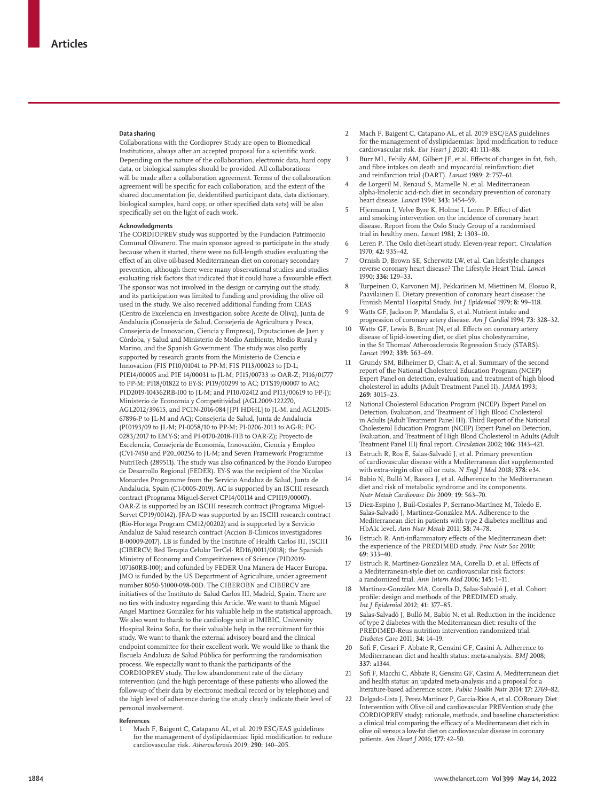### **Data sharing**

Collaborations with the Cordioprev Study are open to Biomedical Institutions, always after an accepted proposal for a scientific work. Depending on the nature of the collaboration, electronic data, hard copy data, or biological samples should be provided. All collaborations will be made after a collaboration agreement. Terms of the collaboration agreement will be specific for each collaboration, and the extent of the shared documentation (ie, deidentified participant data, data dictionary, biological samples, hard copy, or other specified data sets) will be also specifically set on the light of each work.

#### **Acknowledgments**

The CORDIOPREV study was supported by the Fundacion Patrimonio Comunal Olivarero. The main sponsor agreed to participate in the study because when it started, there were no full-length studies evaluating the effect of an olive oil-based Mediterranean diet on coronary secondary prevention, although there were many observational studies and studies evaluating risk factors that indicated that it could have a favourable effect. The sponsor was not involved in the design or carrying out the study, and its participation was limited to funding and providing the olive oil used in the study. We also received additional funding from CEAS (Centro de Excelencia en Investigacion sobre Aceite de Oliva), Junta de Andalucia (Consejeria de Salud, Consejeria de Agricultura y Pesca, Consejeria de Innovacion, Ciencia y Empresa), Diputaciones de Jaen y Córdoba, y Salud and Ministerio de Medio Ambiente, Medio Rural y Marino, and the Spanish Government. The study was also partly supported by research grants from the Ministerio de Ciencia e Innovacion (FIS PI10/01041 to PP-M; FIS PI13/00023 to JD-L; PIE14/00005 and PIE 14/00031 to JL-M; PI15/00733 to OAR-Z; PI16/01777 to PP-M; PI18/01822 to EY-S; PI19/00299 to AC; DTS19/00007 to AC; PID2019-104362RB-I00 to JL-M; and PI10/02412 and PI13/00619 to FP-J); Ministerio de Economia y Competitividad (AGL2009-122270, AGL2012/39615, and PCIN-2016-084 [JPI HDHL] to JL-M, and AGL2015- 67896-P to JL-M and AC); Consejeria de Salud, Junta de Andalucia (PI0193/09 to JL-M; PI-0058/10 to PP-M; PI-0206-2013 to AG-R; PC-0283/2017 to EMY-S; and PI-0170-2018-FIB to OAR-Z); Proyecto de Excelencia, Consejería de Economía, Innovación, Ciencia y Empleo (CVI-7450 and P20\_00256 to JL-M; and Seven Framework Programme NutriTech (289511). The study was also cofinanced by the Fondo Europeo de Desarrollo Regional (FEDER). EY-S was the recipient of the Nicolas Monardes Programme from the Servicio Andaluz de Salud, Junta de Andalucia, Spain (C1-0005-2019). AC is supported by an ISCIII research contract (Programa Miguel-Servet CP14/00114 and CPII19/00007). OAR-Z is supported by an ISCIII research contract (Programa Miguel-Servet CP19/00142). JFA-D was supported by an ISCIII research contract (Rio-Hortega Program CM12/00202) and is supported by a Servicio Andaluz de Salud research contract (Accion B-Clinicos investigadores B-00009-2017). LB is funded by the Institute of Health Carlos III, ISCIII (CIBERCV; Red Terapia Celular TerCel- RD16/0011/0018); the Spanish Ministry of Economy and Competitiveness of Science (PID2019- 107160RB-I00); and cofunded by FEDER Una Manera de Hacer Europa. JMO is funded by the US Department of Agriculture, under agreement number 8050-51000-098-00D. The CIBEROBN and CIBERCV are initiatives of the Instituto de Salud Carlos III, Madrid, Spain. There are no ties with industry regarding this Article. We want to thank Miguel Angel Martinez González for his valuable help in the statistical approach. We also want to thank to the cardiology unit at IMIBIC, University Hospital Reina Sofia, for their valuable help in the recruitment for this study. We want to thank the external advisory board and the clinical endpoint committee for their excellent work. We would like to thank the Escuela Andaluza de Salud Pública for performing the randomisation process. We especially want to thank the participants of the CORDIOPREV study. The low abandonment rate of the dietary intervention (and the high percentage of these patients who allowed the follow-up of their data by electronic medical record or by telephone) and the high level of adherence during the study clearly indicate their level of personal involvement.

#### **References**

1 Mach F, Baigent C, Catapano AL, et al. 2019 ESC/EAS guidelines for the management of dyslipidaemias: lipid modification to reduce cardiovascular risk. *Atherosclerosis* 2019; **290:** 140–205.

- 2 Mach F, Baigent C, Catapano AL, et al. 2019 ESC/EAS guidelines for the management of dyslipidaemias: lipid modification to reduce cardiovascular risk. *Eur Heart J* 2020; **41:** 111–88.
- 3 Burr ML, Fehily AM, Gilbert JF, et al. Effects of changes in fat, fish, and fibre intakes on death and myocardial reinfarction: diet and reinfarction trial (DART). *Lancet* 1989; **2:** 757–61.
- 4 de Lorgeril M, Renaud S, Mamelle N, et al. Mediterranean alpha-linolenic acid-rich diet in secondary prevention of coronary heart disease. *Lancet* 1994; **343:** 1454–59.
- 5 Hjermann I, Velve Byre K, Holme I, Leren P. Effect of diet and smoking intervention on the incidence of coronary heart disease. Report from the Oslo Study Group of a randomised trial in healthy men. *Lancet* 1981; **2:** 1303–10.
- 6 Leren P. The Oslo diet-heart study. Eleven-year report. *Circulation* 1970; **42:** 935–42.
- 7 Ornish D, Brown SE, Scherwitz LW, et al. Can lifestyle changes reverse coronary heart disease? The Lifestyle Heart Trial. *Lancet* 1990; **336:** 129–33.
- 8 Turpeinen O, Karvonen MJ, Pekkarinen M, Miettinen M, Elosuo R, Paavilainen E. Dietary prevention of coronary heart disease: the Finnish Mental Hospital Study. *Int J Epidemiol* 1979; **8:** 99–118.
- 9 Watts GF, Jackson P, Mandalia S, et al. Nutrient intake and progression of coronary artery disease. *Am J Cardiol* 1994; **73:** 328–32.
- 10 Watts GF, Lewis B, Brunt JN, et al. Effects on coronary artery disease of lipid-lowering diet, or diet plus cholestyramine, in the St Thomas' Atherosclerosis Regression Study (STARS). *Lancet* 1992; **339:** 563–69.
- Grundy SM, Bilheimer D, Chait A, et al. Summary of the second report of the National Cholesterol Education Program (NCEP) Expert Panel on detection, evaluation, and treatment of high blood cholesterol in adults (Adult Treatment Panel II). *JAMA* 1993; **269:** 3015–23.
- 12 National Cholesterol Education Program (NCEP) Expert Panel on Detection, Evaluation, and Treatment of High Blood Cholesterol in Adults (Adult Treatment Panel III). Third Report of the National Cholesterol Education Program (NCEP) Expert Panel on Detection, Evaluation, and Treatment of High Blood Cholesterol in Adults (Adult Treatment Panel III) final report. *Circulation* 2002; **106:** 3143–421.
- Estruch R, Ros E, Salas-Salvadó J, et al. Primary prevention of cardiovascular disease with a Mediterranean diet supplemented with extra-virgin olive oil or nuts. *N Engl J Med* 2018; **378:** e34.
- Babio N, Bulló M, Basora J, et al. Adherence to the Mediterranean diet and risk of metabolic syndrome and its components. *Nutr Metab Cardiovasc Dis* 2009; **19:** 563–70.
- 15 Díez-Espino J, Buil-Cosiales P, Serrano-Martínez M, Toledo E, Salas-Salvadó J, Martínez-González MA. Adherence to the Mediterranean diet in patients with type 2 diabetes mellitus and HbA1c level. *Ann Nutr Metab* 2011; **58:** 74–78.
- 16 Estruch R. Anti-inflammatory effects of the Mediterranean diet: the experience of the PREDIMED study. *Proc Nutr Soc* 2010; **69:** 333–40.
- 17 Estruch R, Martínez-González MA, Corella D, et al. Effects of a Mediterranean-style diet on cardiovascular risk factors: a randomized trial. *Ann Intern Med* 2006; **145:** 1–11.
- 18 Martínez-González MA, Corella D, Salas-Salvadó J, et al. Cohort profile: design and methods of the PREDIMED study. *Int J Epidemiol* 2012; **41:** 377–85.
- 19 Salas-Salvadó J, Bulló M, Babio N, et al. Reduction in the incidence of type 2 diabetes with the Mediterranean diet: results of the PREDIMED-Reus nutrition intervention randomized trial. *Diabetes Care* 2011; **34:** 14–19.
- 20 Sofi F, Cesari F, Abbate R, Gensini GF, Casini A. Adherence to Mediterranean diet and health status: meta-analysis. *BMJ* 2008; **337:** a1344.
- 21 Sofi F, Macchi C, Abbate R, Gensini GF, Casini A. Mediterranean diet and health status: an updated meta-analysis and a proposal for a literature-based adherence score. *Public Health Nutr* 2014; **17:** 2769–82.
- 22 Delgado-Lista J, Perez-Martinez P, Garcia-Rios A, et al. CORonary Diet Intervention with Olive oil and cardiovascular PREVention study (the CORDIOPREV study): rationale, methods, and baseline characteristics: a clinical trial comparing the efficacy of a Mediterranean diet rich in olive oil versus a low-fat diet on cardiovascular disease in coronary patients. *Am Heart J* 2016; **177:** 42–50.